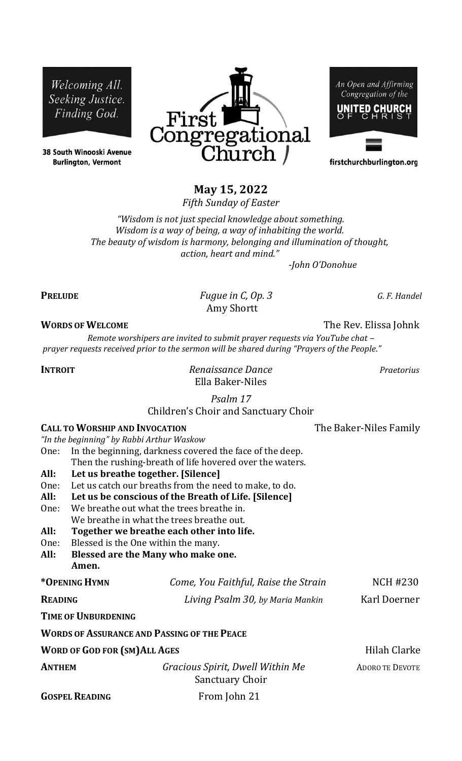Welcoming All. Seeking Justice. Finding God.

38 South Winooski Avenue **Burlington, Vermont** 



An Open and Affirming Congregation of the UNITED CHURCH

firstchurchburlington.org

# **May 15, 2022**

*Fifth Sunday of Easter*

*"Wisdom is not just special knowledge about something. Wisdom is a way of being, a way of inhabiting the world. The beauty of wisdom is harmony, belonging and illumination of thought, action, heart and mind."*

 *-John O'Donohue*

**PRELUDE** *Fugue in C, Op. 3 G. F. Handel* Amy Shortt

## **WORDS OF WELCOME** The Rev. Elissa Johnk

*Remote worshipers are invited to submit prayer requests via YouTube chat – prayer requests received prior to the sermon will be shared during "Prayers of the People."*

**INTROIT** *Renaissance Dance Praetorius* Ella Baker-Niles

*Psalm 17*

Children's Choir and Sanctuary Choir

| <b>CALL TO WORSHIP AND INVOCATION</b>     |  |
|-------------------------------------------|--|
| "In the beginning" by Rabbi Arthur Waskow |  |

- One: In the beginning, darkness covered the face of the deep. Then the rushing-breath of life hovered over the waters.
- **All: Let us breathe together. [Silence]**
- One: Let us catch our breaths from the need to make, to do.
- **All: Let us be conscious of the Breath of Life. [Silence]**
- One: We breathe out what the trees breathe in. We breathe in what the trees breathe out.
- **All: Together we breathe each other into life.**
- One: Blessed is the One within the many.
- **All: Blessed are the Many who make one. Amen.**

**\*OPENING HYMN** *Come, You Faithful, Raise the Strain* NCH #230

**READING** *Living Psalm 30, by Maria Mankin* Karl Doerner

**TIME OF UNBURDENING** 

|                              | WORDS OF ASSURANCE AND PASSING OF THE PEACE |                        |
|------------------------------|---------------------------------------------|------------------------|
| WORD OF GOD FOR (SM)ALL AGES |                                             | Hilah Clarke           |
| Anthem                       | Gracious Spirit, Dwell Within Me            | <b>ADORO TE DEVOTE</b> |

Sanctuary Choir



**The Baker-Niles Family**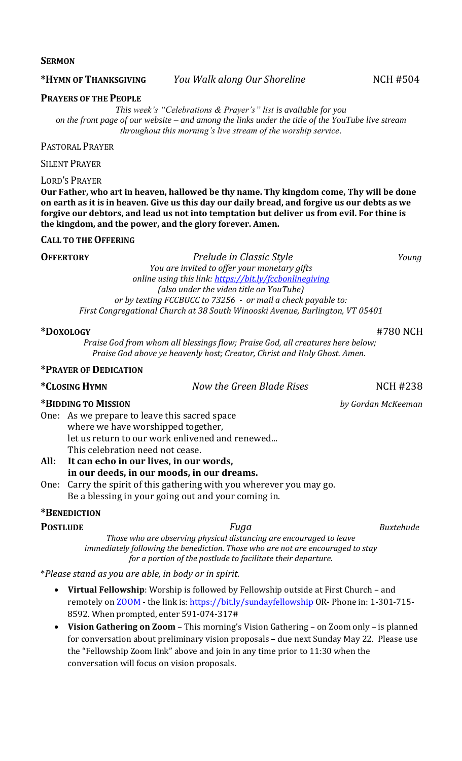#### **SERMON**

### **\*HYMN OF THANKSGIVING** *You Walk along Our Shoreline* NCH #504

#### **PRAYERS OF THE PEOPLE**

*This week's "Celebrations & Prayer's" list is available for you on the front page of our website – and among the links under the title of the YouTube live stream throughout this morning's live stream of the worship service.*

PASTORAL PRAYER

SILENT PRAYER

LORD'S PRAYER

**Our Father, who art in heaven, hallowed be thy name. Thy kingdom come, Thy will be done on earth as it is in heaven. Give us this day our daily bread, and forgive us our debts as we forgive our debtors, and lead us not into temptation but deliver us from evil. For thine is the kingdom, and the power, and the glory forever. Amen.**

### **CALL TO THE OFFERING**

**OFFERTORY** *Prelude in Classic Style Young*

*You are invited to offer your monetary gifts online using this link:<https://bit.ly/fccbonlinegiving> (also under the video title on YouTube) or by texting FCCBUCC to 73256 - or mail a check payable to: First Congregational Church at 38 South Winooski Avenue, Burlington, VT 05401*

### **\*DOXOLOGY** #780 NCH

*Praise God from whom all blessings flow; Praise God, all creatures here below; Praise God above ye heavenly host; Creator, Christ and Holy Ghost. Amen.*

#### **\*PRAYER OF DEDICATION**

**\*CLOSING HYMN** *Now the Green Blade Rises* NCH #238

#### **\*BIDDING TO MISSION** *by Gordan McKeeman*

One: As we prepare to leave this sacred space where we have worshipped together, let us return to our work enlivened and renewed... This celebration need not cease.

- **All: It can echo in our lives, in our words, in our deeds, in our moods, in our dreams.**
- One: Carry the spirit of this gathering with you wherever you may go. Be a blessing in your going out and your coming in.

# **\*BENEDICTION**

**POSTLUDE** *Fuga Buxtehude Those who are observing physical distancing are encouraged to leave immediately following the benediction. Those who are not are encouraged to stay for a portion of the postlude to facilitate their departure.*

\**Please stand as you are able, in body or in spirit.*

- **Virtual Fellowship**: Worship is followed by Fellowship outside at First Church and remotely on **ZOOM** - the link is[: https://bit.ly/sundayfellowship](https://bit.ly/sundayfellowship) OR- Phone in: 1-301-715-8592. When prompted, enter 591-074-317#
- **Vision Gathering on Zoom**  This morning's Vision Gathering on Zoom only is planned for conversation about preliminary vision proposals – due next Sunday May 22. Please use the "Fellowship Zoom link" above and join in any time prior to 11:30 when the conversation will focus on vision proposals.